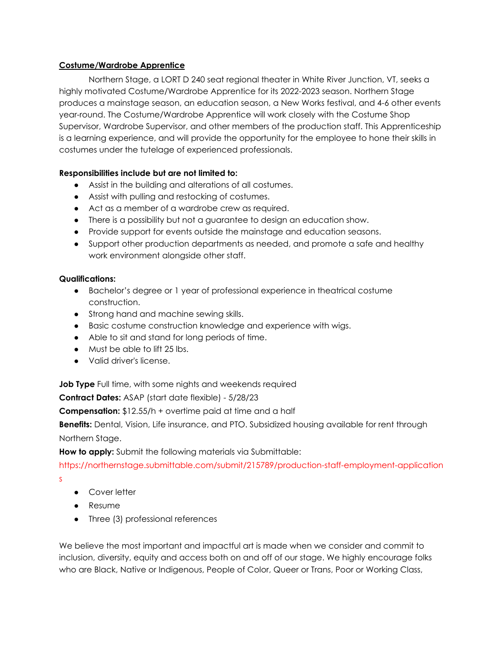## **Costume/Wardrobe Apprentice**

Northern Stage, a LORT D 240 seat regional theater in White River Junction, VT, seeks a highly motivated Costume/Wardrobe Apprentice for its 2022-2023 season. Northern Stage produces a mainstage season, an education season, a New Works festival, and 4-6 other events year-round. The Costume/Wardrobe Apprentice will work closely with the Costume Shop Supervisor, Wardrobe Supervisor, and other members of the production staff. This Apprenticeship is a learning experience, and will provide the opportunity for the employee to hone their skills in costumes under the tutelage of experienced professionals.

## **Responsibilities include but are not limited to:**

- Assist in the building and alterations of all costumes.
- Assist with pulling and restocking of costumes.
- Act as a member of a wardrobe crew as required.
- There is a possibility but not a guarantee to design an education show.
- Provide support for events outside the mainstage and education seasons.
- Support other production departments as needed, and promote a safe and healthy work environment alongside other staff.

## **Qualifications:**

- Bachelor's degree or 1 year of professional experience in theatrical costume construction.
- Strong hand and machine sewing skills.
- Basic costume construction knowledge and experience with wigs.
- Able to sit and stand for long periods of time.
- Must be able to lift 25 lbs.
- Valid driver's license.

**Job Type** Full time, with some nights and weekends required

**Contract Dates:** ASAP (start date flexible) - 5/28/23

**Compensation:** \$12.55/h + overtime paid at time and a half

**Benefits:** Dental, Vision, Life insurance, and PTO. Subsidized housing available for rent through Northern Stage.

**How to apply:** Submit the following materials via Submittable:

https://northernstage.submittable.com/submit/215789/production-staff-employment-application s

- Cover letter
- Resume
- Three (3) professional references

We believe the most important and impactful art is made when we consider and commit to inclusion, diversity, equity and access both on and off of our stage. We highly encourage folks who are Black, Native or Indigenous, People of Color, Queer or Trans, Poor or Working Class,